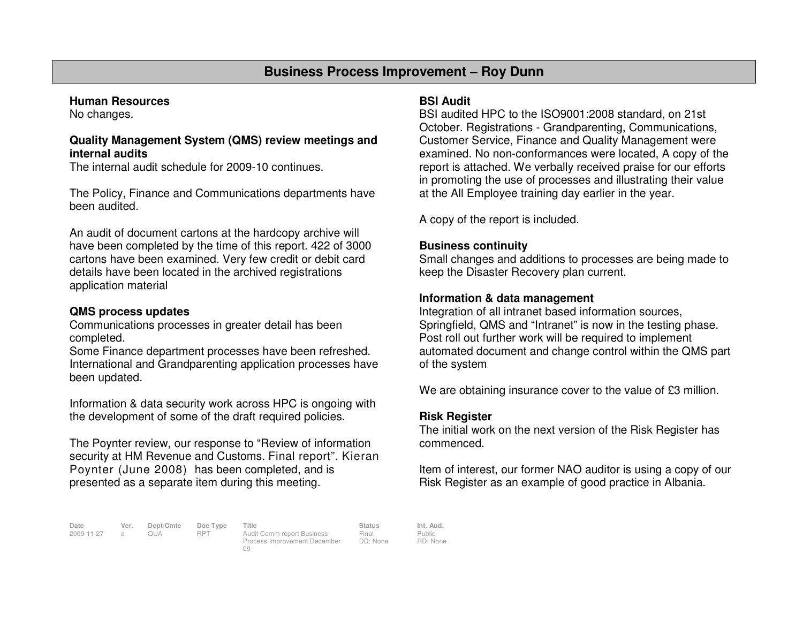### **Business Process Improvement – Roy Dunn**

### **Human Resources**

No changes.

### **Quality Management System (QMS) review meetings andinternal audits**

The internal audit schedule for 2009-10 continues.

The Policy, Finance and Communications departments have been audited.

An audit of document cartons at the hardcopy archive will have been completed by the time of this report. 422 of 3000 cartons have been examined. Very few credit or debit card details have been located in the archived registrations application material

### **QMS process updates**

 Communications processes in greater detail has beencompleted.

 Some Finance department processes have been refreshed. International and Grandparenting application processes have been updated.

Information & data security work across HPC is ongoing with the development of some of the draft required policies.

The Poynter review, our response to "Review of information security at HM Revenue and Customs. Final report". Kieran Poynter (June 2008) has been completed, and is presented as a separate item during this meeting.

### **BSI Audit**

 BSI audited HPC to the ISO9001:2008 standard, on 21st October. Registrations - Grandparenting, Communications, Customer Service, Finance and Quality Management were examined. No non-conformances were located, A copy of the report is attached. We verbally received praise for our efforts in promoting the use of processes and illustrating their value at the All Employee training day earlier in the year.

A copy of the report is included.

### **Business continuity**

 Small changes and additions to processes are being made to keep the Disaster Recovery plan current.

### **Information & data management**

 Integration of all intranet based information sources, Springfield, QMS and "Intranet" is now in the testing phase. Post roll out further work will be required to implement automated document and change control within the QMS part of the system

We are obtaining insurance cover to the value of £3 million.

### **Risk Register**

 The initial work on the next version of the Risk Register has commenced.

Item of interest, our former NAO auditor is using a copy of our Risk Register as an example of good practice in Albania.

**Date Ver. Dept/Cmte Doc Type Title Status Int. Aud.**2009-11-27 a QUA RPT Audit Comm report Business

09

Process Improvement December DD: None

Public RD: None

Final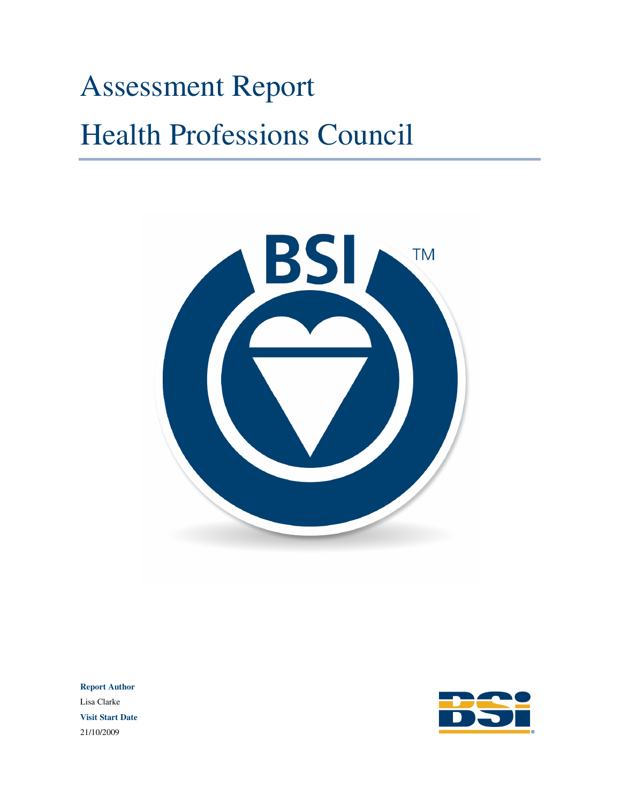# Assessment Report Health Professions Council



**Report Author** Lisa Clarke **Visit Start Date** 21/10/2009

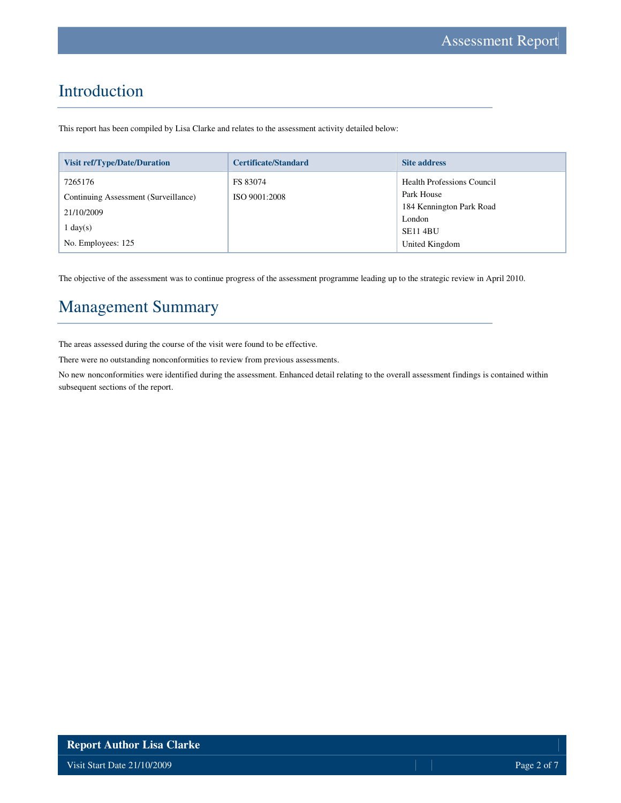# Introduction

This report has been compiled by Lisa Clarke and relates to the assessment activity detailed below:

| <b>Visit ref/Type/Date/Duration</b>  | <b>Certificate/Standard</b> | <b>Site address</b>               |
|--------------------------------------|-----------------------------|-----------------------------------|
| 7265176                              | FS 83074                    | <b>Health Professions Council</b> |
| Continuing Assessment (Surveillance) | ISO 9001:2008               | Park House                        |
| 21/10/2009                           |                             | 184 Kennington Park Road          |
|                                      |                             | London                            |
| $\lfloor \text{day(s)} \rfloor$      |                             | <b>SE11 4BU</b>                   |
| No. Employees: 125                   |                             | United Kingdom                    |

The objective of the assessment was to continue progress of the assessment programme leading up to the strategic review in April 2010.

# Management Summary

The areas assessed during the course of the visit were found to be effective.

There were no outstanding nonconformities to review from previous assessments.

No new nonconformities were identified during the assessment. Enhanced detail relating to the overall assessment findings is contained within subsequent sections of the report.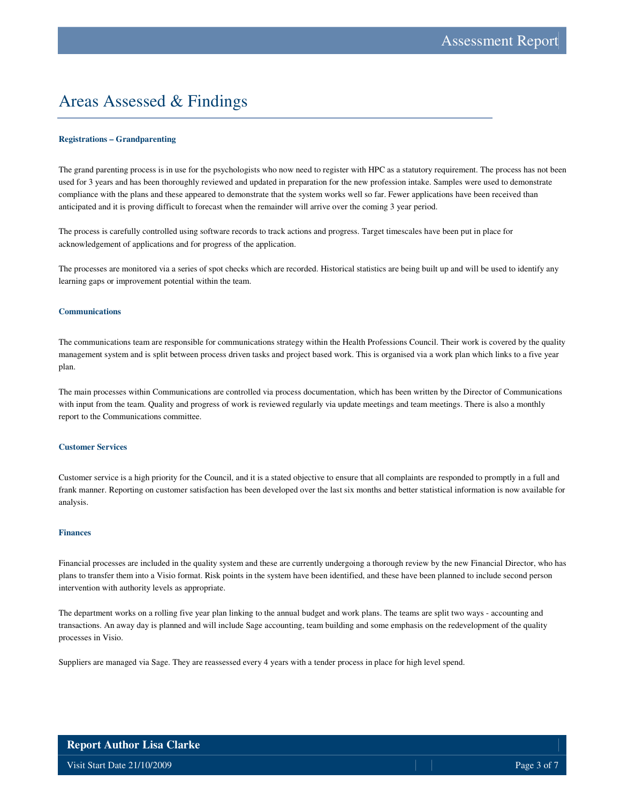# Areas Assessed & Findings

#### **Registrations – Grandparenting**

The grand parenting process is in use for the psychologists who now need to register with HPC as a statutory requirement. The process has not been used for 3 years and has been thoroughly reviewed and updated in preparation for the new profession intake. Samples were used to demonstrate compliance with the plans and these appeared to demonstrate that the system works well so far. Fewer applications have been received than anticipated and it is proving difficult to forecast when the remainder will arrive over the coming 3 year period.

The process is carefully controlled using software records to track actions and progress. Target timescales have been put in place for acknowledgement of applications and for progress of the application.

The processes are monitored via a series of spot checks which are recorded. Historical statistics are being built up and will be used to identify any learning gaps or improvement potential within the team.

#### **Communications**

The communications team are responsible for communications strategy within the Health Professions Council. Their work is covered by the quality management system and is split between process driven tasks and project based work. This is organised via a work plan which links to a five year plan.

The main processes within Communications are controlled via process documentation, which has been written by the Director of Communications with input from the team. Quality and progress of work is reviewed regularly via update meetings and team meetings. There is also a monthly report to the Communications committee.

#### **Customer Services**

Customer service is a high priority for the Council, and it is a stated objective to ensure that all complaints are responded to promptly in a full and frank manner. Reporting on customer satisfaction has been developed over the last six months and better statistical information is now available for analysis.

#### **Finances**

Financial processes are included in the quality system and these are currently undergoing a thorough review by the new Financial Director, who has plans to transfer them into a Visio format. Risk points in the system have been identified, and these have been planned to include second person intervention with authority levels as appropriate.

The department works on a rolling five year plan linking to the annual budget and work plans. The teams are split two ways - accounting and transactions. An away day is planned and will include Sage accounting, team building and some emphasis on the redevelopment of the quality processes in Visio.

Suppliers are managed via Sage. They are reassessed every 4 years with a tender process in place for high level spend.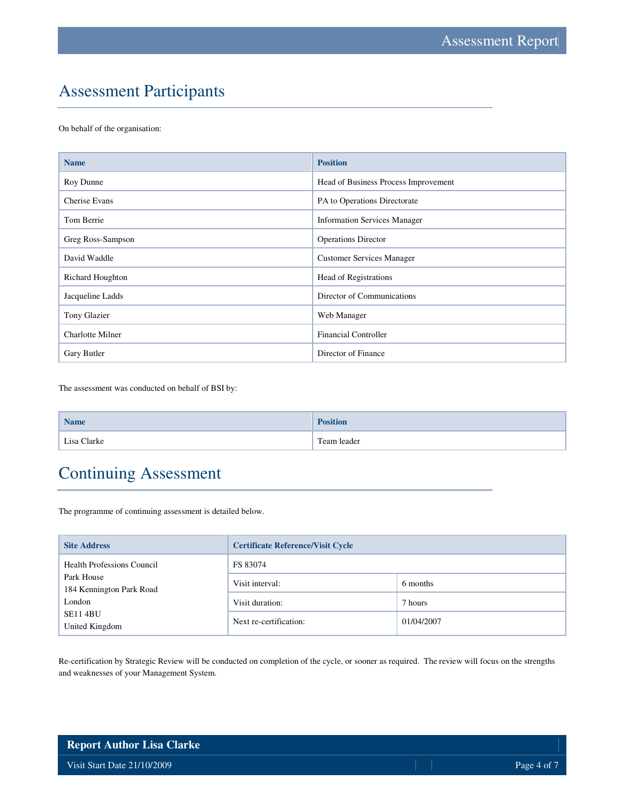# Assessment Participants

On behalf of the organisation:

| <b>Name</b>             | <b>Position</b>                      |
|-------------------------|--------------------------------------|
| Roy Dunne               | Head of Business Process Improvement |
| Cherise Evans           | PA to Operations Directorate         |
| Tom Berrie              | <b>Information Services Manager</b>  |
| Greg Ross-Sampson       | <b>Operations Director</b>           |
| David Waddle            | <b>Customer Services Manager</b>     |
| <b>Richard Houghton</b> | <b>Head of Registrations</b>         |
| Jacqueline Ladds        | Director of Communications           |
| Tony Glazier            | Web Manager                          |
| <b>Charlotte Milner</b> | <b>Financial Controller</b>          |
| Gary Butler             | Director of Finance                  |

The assessment was conducted on behalf of BSI by:

| <b>Name</b> | <b>Position</b> |
|-------------|-----------------|
| Lisa Clarke | Team leader     |

# Continuing Assessment

The programme of continuing assessment is detailed below.

| <b>Site Address</b>                    | <b>Certificate Reference/Visit Cycle</b> |            |  |
|----------------------------------------|------------------------------------------|------------|--|
| <b>Health Professions Council</b>      | FS 83074                                 |            |  |
| Park House<br>184 Kennington Park Road | Visit interval:                          | 6 months   |  |
| London                                 | Visit duration:                          | 7 hours    |  |
| <b>SE11 4BU</b><br>United Kingdom      | Next re-certification:                   | 01/04/2007 |  |

Re-certification by Strategic Review will be conducted on completion of the cycle, or sooner as required. The review will focus on the strengths and weaknesses of your Management System.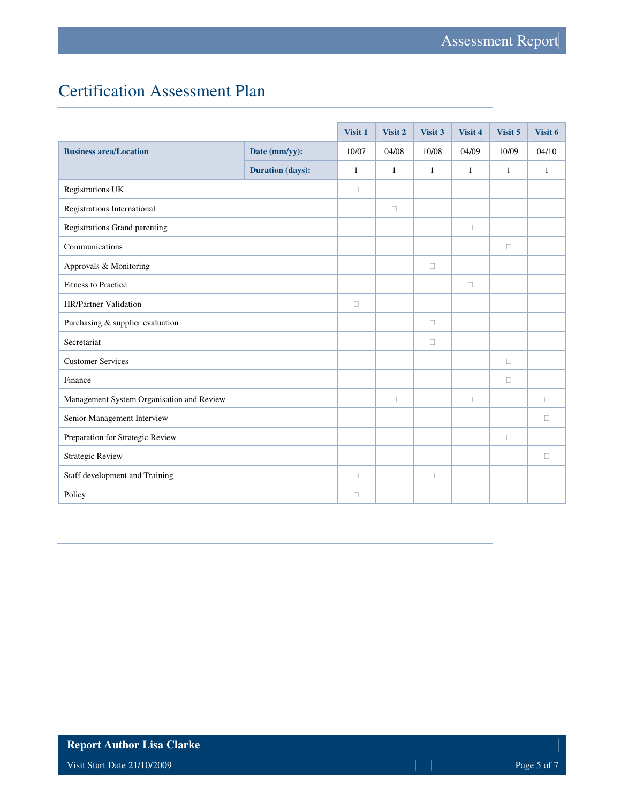# Certification Assessment Plan

|                                           |                         | Visit 1      | Visit 2 | Visit 3 | Visit 4 | Visit 5      | Visit 6 |
|-------------------------------------------|-------------------------|--------------|---------|---------|---------|--------------|---------|
| <b>Business area/Location</b>             | Date (mm/yy):           | 10/07        | 04/08   | 10/08   | 04/09   | 10/09        | 04/10   |
|                                           | <b>Duration (days):</b> | $\mathbf{1}$ | 1       | 1       | 1       | $\mathbf{1}$ | 1       |
| Registrations UK                          |                         |              |         |         |         |              |         |
| Registrations International               |                         |              |         |         |         |              |         |
| Registrations Grand parenting             |                         |              |         |         |         |              |         |
| Communications                            |                         |              |         |         |         |              |         |
| Approvals & Monitoring                    |                         |              |         |         |         |              |         |
| Fitness to Practice                       |                         |              |         |         |         |              |         |
| HR/Partner Validation                     |                         |              |         |         |         |              |         |
| Purchasing & supplier evaluation          |                         |              |         |         |         |              |         |
| Secretariat                               |                         |              |         |         |         |              |         |
| <b>Customer Services</b>                  |                         |              |         |         |         |              |         |
| Finance                                   |                         |              |         |         |         |              |         |
| Management System Organisation and Review |                         |              |         |         |         |              |         |
| Senior Management Interview               |                         |              |         |         |         |              |         |
| Preparation for Strategic Review          |                         |              |         |         |         |              |         |
| <b>Strategic Review</b>                   |                         |              |         |         |         |              |         |
| Staff development and Training            |                         |              |         |         |         |              |         |
| Policy                                    |                         |              |         |         |         |              |         |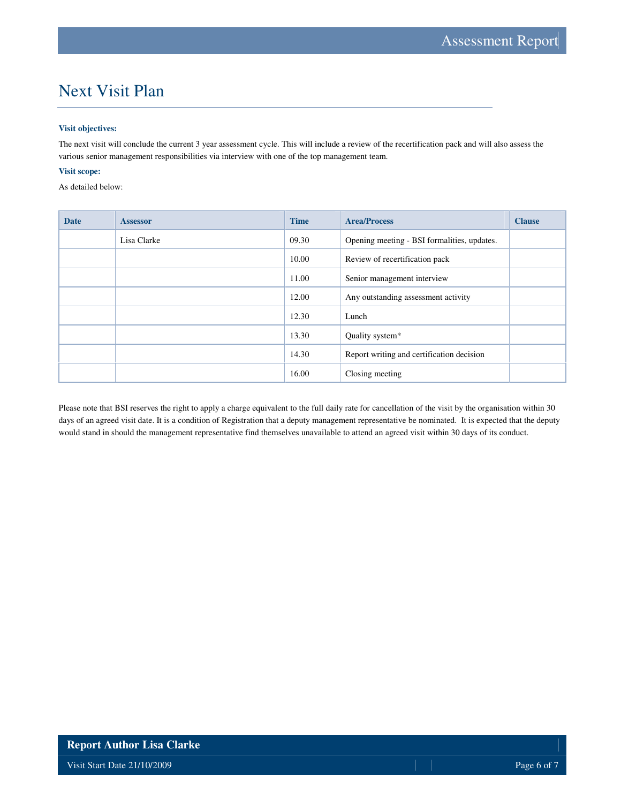# Next Visit Plan

#### **Visit objectives:**

The next visit will conclude the current 3 year assessment cycle. This will include a review of the recertification pack and will also assess the various senior management responsibilities via interview with one of the top management team.

#### **Visit scope:**

As detailed below:

| <b>Date</b> | <b>Assessor</b> | <b>Time</b> | <b>Area/Process</b>                         | <b>Clause</b> |
|-------------|-----------------|-------------|---------------------------------------------|---------------|
|             | Lisa Clarke     | 09.30       | Opening meeting - BSI formalities, updates. |               |
|             |                 | 10.00       | Review of recertification pack              |               |
|             |                 | 11.00       | Senior management interview                 |               |
|             |                 | 12.00       | Any outstanding assessment activity         |               |
|             |                 | 12.30       | Lunch                                       |               |
|             |                 | 13.30       | Quality system*                             |               |
|             |                 | 14.30       | Report writing and certification decision   |               |
|             |                 | 16.00       | Closing meeting                             |               |

Please note that BSI reserves the right to apply a charge equivalent to the full daily rate for cancellation of the visit by the organisation within 30 days of an agreed visit date. It is a condition of Registration that a deputy management representative be nominated. It is expected that the deputy would stand in should the management representative find themselves unavailable to attend an agreed visit within 30 days of its conduct.